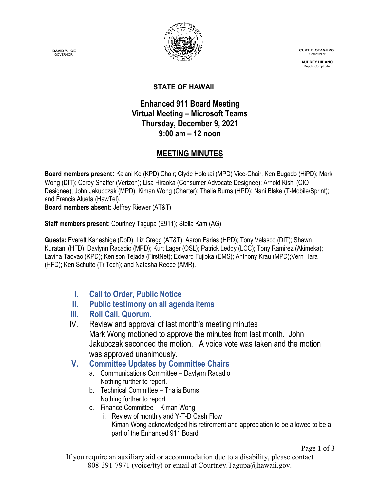**-DAVID Y. IGE GOVERNOR** 



 **CURT T. OTAGURO** Comptrol

 **AUDREY HIDANO** Deputy Comptrolle

#### **STATE OF HAWAII**

# **Enhanced 911 Board Meeting Virtual Meeting – Microsoft Teams Thursday, December 9, 2021 9:00 am – 12 noon**

# **MEETING MINUTES**

**Board members present:** Kalani Ke (KPD) Chair; Clyde Holokai (MPD) Vice-Chair, Ken Bugado (HiPD); Mark Wong (DIT); Corey Shaffer (Verizon); Lisa Hiraoka (Consumer Advocate Designee); Arnold Kishi (CIO Designee); John Jakubczak (MPD); Kiman Wong (Charter); Thalia Burns (HPD); Nani Blake (T-Mobile/Sprint); and Francis Alueta (HawTel).

**Board members absent:** Jeffrey Riewer (AT&T);

**Staff members present**: Courtney Tagupa (E911); Stella Kam (AG)

**Guests:** Everett Kaneshige (DoD); Liz Gregg (AT&T); Aaron Farias (HPD); Tony Velasco (DIT); Shawn Kuratani (HFD); Davlynn Racadio (MPD); Kurt Lager (OSL); Patrick Leddy (LCC); Tony Ramirez (Akimeka); Lavina Taovao (KPD); Kenison Tejada (FirstNet); Edward Fujioka (EMS); Anthony Krau (MPD);Vern Hara (HFD); Ken Schulte (TriTech); and Natasha Reece (AMR).

**I. Call to Order, Public Notice**

## **II. Public testimony on all agenda items**

- **III. Roll Call, Quorum.**
- IV. Review and approval of last month's meeting minutes Mark Wong motioned to approve the minutes from last month. John Jakubczak seconded the motion. A voice vote was taken and the motion was approved unanimously.

## **V. Committee Updates by Committee Chairs**

- a. Communications Committee Davlynn Racadio Nothing further to report.
- b. Technical Committee Thalia Burns Nothing further to report
- c. Finance Committee Kiman Wong
	- i. Review of monthly and Y-T-D Cash Flow Kiman Wong acknowledged his retirement and appreciation to be allowed to be a part of the Enhanced 911 Board.

Page **1** of **3**

If you require an auxiliary aid or accommodation due to a disability, please contact 808-391-7971 (voice/tty) or email at Courtney.Tagupa@hawaii.gov.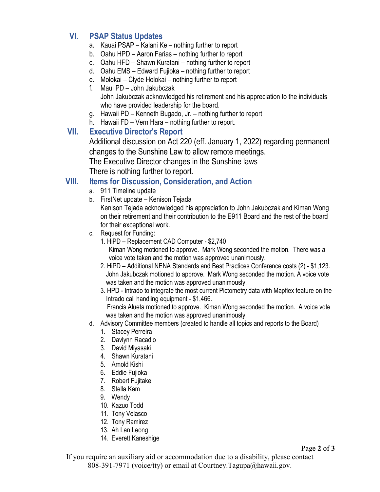### **VI. PSAP Status Updates**

- a. Kauai PSAP Kalani Ke nothing further to report
- b. Oahu HPD Aaron Farias nothing further to report
- c. Oahu HFD Shawn Kuratani nothing further to report
- d. Oahu EMS Edward Fujioka nothing further to report
- e. Molokai Clyde Holokai nothing further to report
- f. Maui PD John Jakubczak John Jakubczak acknowledged his retirement and his appreciation to the individuals who have provided leadership for the board.
- g. Hawaii PD Kenneth Bugado, Jr. nothing further to report
- h. Hawaii FD Vern Hara nothing further to report.

### **VII. Executive Director's Report**

Additional discussion on Act 220 (eff. January 1, 2022) regarding permanent changes to the Sunshine Law to allow remote meetings.

The Executive Director changes in the Sunshine laws

There is nothing further to report.

### **VIII. Items for Discussion, Consideration, and Action**

- a. 911 Timeline update
- b. FirstNet update Kenison Tejada

Kenison Tejada acknowledged his appreciation to John Jakubczak and Kiman Wong on their retirement and their contribution to the E911 Board and the rest of the board for their exceptional work.

- c. Request for Funding:
	- 1. HiPD Replacement CAD Computer \$2,740 Kiman Wong motioned to approve. Mark Wong seconded the motion. There was a voice vote taken and the motion was approved unanimously.
	- 2. HiPD Additional NENA Standards and Best Practices Conference costs (2) \$1,123. John Jakubczak motioned to approve. Mark Wong seconded the motion. A voice vote was taken and the motion was approved unanimously.
	- 3. HPD Intrado to integrate the most current Pictometry data with Mapflex feature on the Intrado call handling equipment - \$1,466. Francis Alueta motioned to approve. Kiman Wong seconded the motion. A voice vote was taken and the motion was approved unanimously.
- d. Advisory Committee members (created to handle all topics and reports to the Board)
	- 1. Stacey Perreira
	- 2. Davlynn Racadio
	- 3. David Miyasaki
	- 4. Shawn Kuratani
	- 5. Arnold Kishi
	- 6. Eddie Fujioka
	- 7. Robert Fujitake
	- 8. Stella Kam
	- 9. Wendy
	- 10. Kazuo Todd
	- 11. Tony Velasco
	- 12. Tony Ramirez
	- 13. Ah Lan Leong
	- 14. Everett Kaneshige

If you require an auxiliary aid or accommodation due to a disability, please contact 808-391-7971 (voice/tty) or email at Courtney.Tagupa@hawaii.gov.